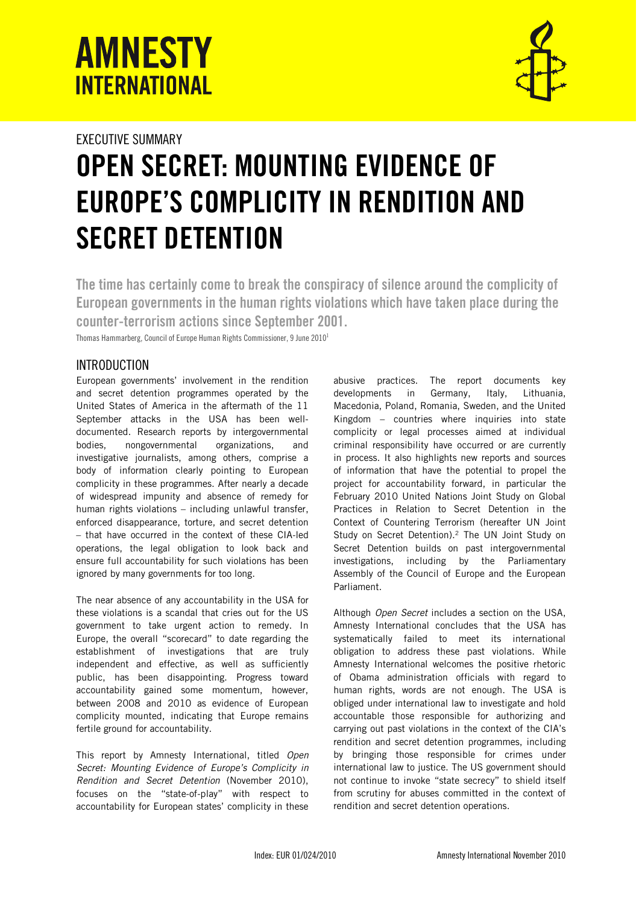# **AMNESTY INTERNATIONAL**



# EXECUTIVE SUMMARY OPEN SECRET: MOUNTING EVIDENCE OF EUROPE'S COMPLICITY IN RENDITION AND SECRET DETENTION

The time has certainly come to break the conspiracy of silence around the complicity of European governments in the human rights violations which have taken place during the counter-terrorism actions since September 2001.

Thomas Hammarberg, Council of Europe Human Rights Commissioner, 9 June 2010<sup>1</sup>

## INTRODUCTION

European governments' involvement in the rendition and secret detention programmes operated by the United States of America in the aftermath of the 11 September attacks in the USA has been welldocumented. Research reports by intergovernmental bodies, nongovernmental organizations, and investigative journalists, among others, comprise a body of information clearly pointing to European complicity in these programmes. After nearly a decade of widespread impunity and absence of remedy for human rights violations – including unlawful transfer, enforced disappearance, torture, and secret detention – that have occurred in the context of these CIA-led operations, the legal obligation to look back and ensure full accountability for such violations has been ignored by many governments for too long.

The near absence of any accountability in the USA for these violations is a scandal that cries out for the US government to take urgent action to remedy. In Europe, the overall "scorecard" to date regarding the establishment of investigations that are truly independent and effective, as well as sufficiently public, has been disappointing. Progress toward accountability gained some momentum, however, between 2008 and 2010 as evidence of European complicity mounted, indicating that Europe remains fertile ground for accountability.

This report by Amnesty International, titled Open Secret: Mounting Evidence of Europe's Complicity in Rendition and Secret Detention (November 2010), focuses on the "state-of-play" with respect to accountability for European states' complicity in these

abusive practices. The report documents key developments in Germany, Italy, Lithuania, Macedonia, Poland, Romania, Sweden, and the United Kingdom – countries where inquiries into state complicity or legal processes aimed at individual criminal responsibility have occurred or are currently in process. It also highlights new reports and sources of information that have the potential to propel the project for accountability forward, in particular the February 2010 United Nations Joint Study on Global Practices in Relation to Secret Detention in the Context of Countering Terrorism (hereafter UN Joint Study on Secret Detention).<sup>2</sup> The UN Joint Study on Secret Detention builds on past intergovernmental investigations, including by the Parliamentary Assembly of the Council of Europe and the European Parliament.

Although Open Secret includes a section on the USA, Amnesty International concludes that the USA has systematically failed to meet its international obligation to address these past violations. While Amnesty International welcomes the positive rhetoric of Obama administration officials with regard to human rights, words are not enough. The USA is obliged under international law to investigate and hold accountable those responsible for authorizing and carrying out past violations in the context of the CIA's rendition and secret detention programmes, including by bringing those responsible for crimes under international law to justice. The US government should not continue to invoke "state secrecy" to shield itself from scrutiny for abuses committed in the context of rendition and secret detention operations.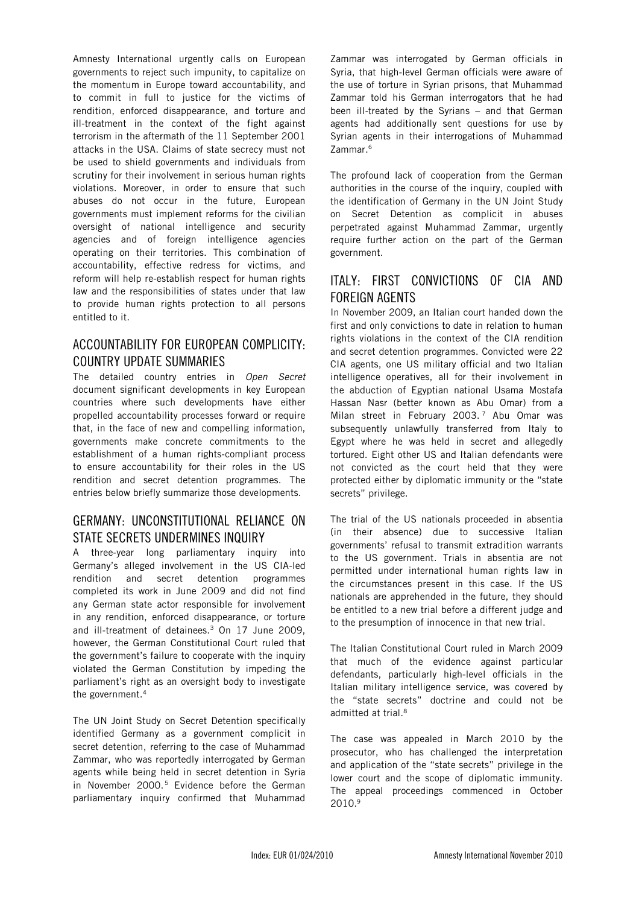Amnesty International urgently calls on European governments to reject such impunity, to capitalize on the momentum in Europe toward accountability, and to commit in full to justice for the victims of rendition, enforced disappearance, and torture and ill-treatment in the context of the fight against terrorism in the aftermath of the 11 September 2001 attacks in the USA. Claims of state secrecy must not be used to shield governments and individuals from scrutiny for their involvement in serious human rights violations. Moreover, in order to ensure that such abuses do not occur in the future, European governments must implement reforms for the civilian oversight of national intelligence and security agencies and of foreign intelligence agencies operating on their territories. This combination of accountability, effective redress for victims, and reform will help re-establish respect for human rights law and the responsibilities of states under that law to provide human rights protection to all persons entitled to it.

#### ACCOUNTABILITY FOR EUROPEAN COMPLICITY: COUNTRY UPDATE SUMMARIES

The detailed country entries in Open Secret document significant developments in key European countries where such developments have either propelled accountability processes forward or require that, in the face of new and compelling information, governments make concrete commitments to the establishment of a human rights-compliant process to ensure accountability for their roles in the US rendition and secret detention programmes. The entries below briefly summarize those developments.

### GERMANY: UNCONSTITUTIONAL RELIANCE ON STATE SECRETS UNDERMINES INQUIRY

A three-year long parliamentary inquiry into Germany's alleged involvement in the US CIA-led rendition and secret detention programmes completed its work in June 2009 and did not find any German state actor responsible for involvement in any rendition, enforced disappearance, or torture and ill-treatment of detainees.<sup>3</sup> On 17 June 2009, however, the German Constitutional Court ruled that the government's failure to cooperate with the inquiry violated the German Constitution by impeding the parliament's right as an oversight body to investigate the government.<sup>4</sup>

The UN Joint Study on Secret Detention specifically identified Germany as a government complicit in secret detention, referring to the case of Muhammad Zammar, who was reportedly interrogated by German agents while being held in secret detention in Syria in November 2000.<sup>5</sup> Evidence before the German parliamentary inquiry confirmed that Muhammad

Zammar was interrogated by German officials in Syria, that high-level German officials were aware of the use of torture in Syrian prisons, that Muhammad Zammar told his German interrogators that he had been ill-treated by the Syrians – and that German agents had additionally sent questions for use by Syrian agents in their interrogations of Muhammad Zammar.<sup>6</sup>

The profound lack of cooperation from the German authorities in the course of the inquiry, coupled with the identification of Germany in the UN Joint Study on Secret Detention as complicit in abuses perpetrated against Muhammad Zammar, urgently require further action on the part of the German government.

#### ITALY: FIRST CONVICTIONS OF CIA AND FOREIGN AGENTS

In November 2009, an Italian court handed down the first and only convictions to date in relation to human rights violations in the context of the CIA rendition and secret detention programmes. Convicted were 22 CIA agents, one US military official and two Italian intelligence operatives, all for their involvement in the abduction of Egyptian national Usama Mostafa Hassan Nasr (better known as Abu Omar) from a Milan street in February 2003.<sup>7</sup> Abu Omar was subsequently unlawfully transferred from Italy to Egypt where he was held in secret and allegedly tortured. Eight other US and Italian defendants were not convicted as the court held that they were protected either by diplomatic immunity or the "state secrets" privilege.

The trial of the US nationals proceeded in absentia (in their absence) due to successive Italian governments' refusal to transmit extradition warrants to the US government. Trials in absentia are not permitted under international human rights law in the circumstances present in this case. If the US nationals are apprehended in the future, they should be entitled to a new trial before a different judge and to the presumption of innocence in that new trial.

The Italian Constitutional Court ruled in March 2009 that much of the evidence against particular defendants, particularly high-level officials in the Italian military intelligence service, was covered by the "state secrets" doctrine and could not be admitted at trial.<sup>8</sup>

The case was appealed in March 2010 by the prosecutor, who has challenged the interpretation and application of the "state secrets" privilege in the lower court and the scope of diplomatic immunity. The appeal proceedings commenced in October 2010.9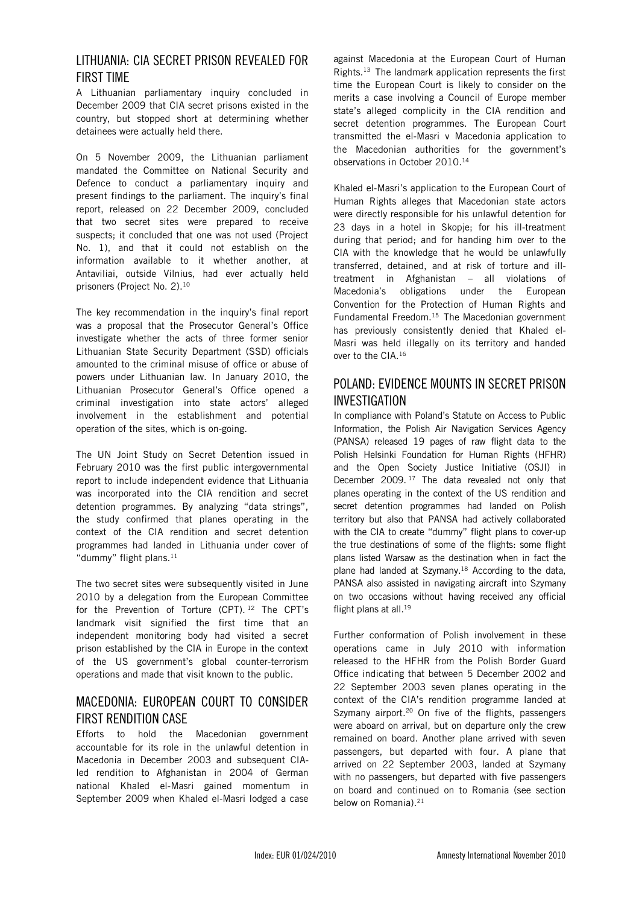#### LITHUANIA: CIA SECRET PRISON REVEALED FOR FIRST TIME

A Lithuanian parliamentary inquiry concluded in December 2009 that CIA secret prisons existed in the country, but stopped short at determining whether detainees were actually held there.

On 5 November 2009, the Lithuanian parliament mandated the Committee on National Security and Defence to conduct a parliamentary inquiry and present findings to the parliament. The inquiry's final report, released on 22 December 2009, concluded that two secret sites were prepared to receive suspects; it concluded that one was not used (Project No. 1), and that it could not establish on the information available to it whether another, at Antaviliai, outside Vilnius, had ever actually held prisoners (Project No. 2).<sup>10</sup>

The key recommendation in the inquiry's final report was a proposal that the Prosecutor General's Office investigate whether the acts of three former senior Lithuanian State Security Department (SSD) officials amounted to the criminal misuse of office or abuse of powers under Lithuanian law. In January 2010, the Lithuanian Prosecutor General's Office opened a criminal investigation into state actors' alleged involvement in the establishment and potential operation of the sites, which is on-going.

The UN Joint Study on Secret Detention issued in February 2010 was the first public intergovernmental report to include independent evidence that Lithuania was incorporated into the CIA rendition and secret detention programmes. By analyzing "data strings", the study confirmed that planes operating in the context of the CIA rendition and secret detention programmes had landed in Lithuania under cover of "dummy" flight plans.<sup>11</sup>

The two secret sites were subsequently visited in June 2010 by a delegation from the European Committee for the Prevention of Torture (CPT). <sup>12</sup> The CPT's landmark visit signified the first time that an independent monitoring body had visited a secret prison established by the CIA in Europe in the context of the US government's global counter-terrorism operations and made that visit known to the public.

#### MACEDONIA: EUROPEAN COURT TO CONSIDER FIRST RENDITION CASE

Efforts to hold the Macedonian government accountable for its role in the unlawful detention in Macedonia in December 2003 and subsequent CIAled rendition to Afghanistan in 2004 of German national Khaled el-Masri gained momentum in September 2009 when Khaled el-Masri lodged a case

against Macedonia at the European Court of Human Rights.<sup>13</sup> The landmark application represents the first time the European Court is likely to consider on the merits a case involving a Council of Europe member state's alleged complicity in the CIA rendition and secret detention programmes. The European Court transmitted the el-Masri v Macedonia application to the Macedonian authorities for the government's observations in October 2010.<sup>14</sup>

Khaled el-Masri's application to the European Court of Human Rights alleges that Macedonian state actors were directly responsible for his unlawful detention for 23 days in a hotel in Skopje; for his ill-treatment during that period; and for handing him over to the CIA with the knowledge that he would be unlawfully transferred, detained, and at risk of torture and illtreatment in Afghanistan – all violations of Macedonia's obligations under the European Convention for the Protection of Human Rights and Fundamental Freedom. $15$  The Macedonian government has previously consistently denied that Khaled el-Masri was held illegally on its territory and handed over to the CIA.<sup>16</sup>

### POLAND: EVIDENCE MOUNTS IN SECRET PRISON INVESTIGATION

In compliance with Poland's Statute on Access to Public Information, the Polish Air Navigation Services Agency (PANSA) released 19 pages of raw flight data to the Polish Helsinki Foundation for Human Rights (HFHR) and the Open Society Justice Initiative (OSJI) in December 2009.<sup>17</sup> The data revealed not only that planes operating in the context of the US rendition and secret detention programmes had landed on Polish territory but also that PANSA had actively collaborated with the CIA to create "dummy" flight plans to cover-up the true destinations of some of the flights: some flight plans listed Warsaw as the destination when in fact the plane had landed at Szymany.<sup>18</sup> According to the data, PANSA also assisted in navigating aircraft into Szymany on two occasions without having received any official flight plans at all.<sup>19</sup>

Further conformation of Polish involvement in these operations came in July 2010 with information released to the HFHR from the Polish Border Guard Office indicating that between 5 December 2002 and 22 September 2003 seven planes operating in the context of the CIA's rendition programme landed at Szymany airport.<sup>20</sup> On five of the flights, passengers were aboard on arrival, but on departure only the crew remained on board. Another plane arrived with seven passengers, but departed with four. A plane that arrived on 22 September 2003, landed at Szymany with no passengers, but departed with five passengers on board and continued on to Romania (see section below on Romania).<sup>21</sup>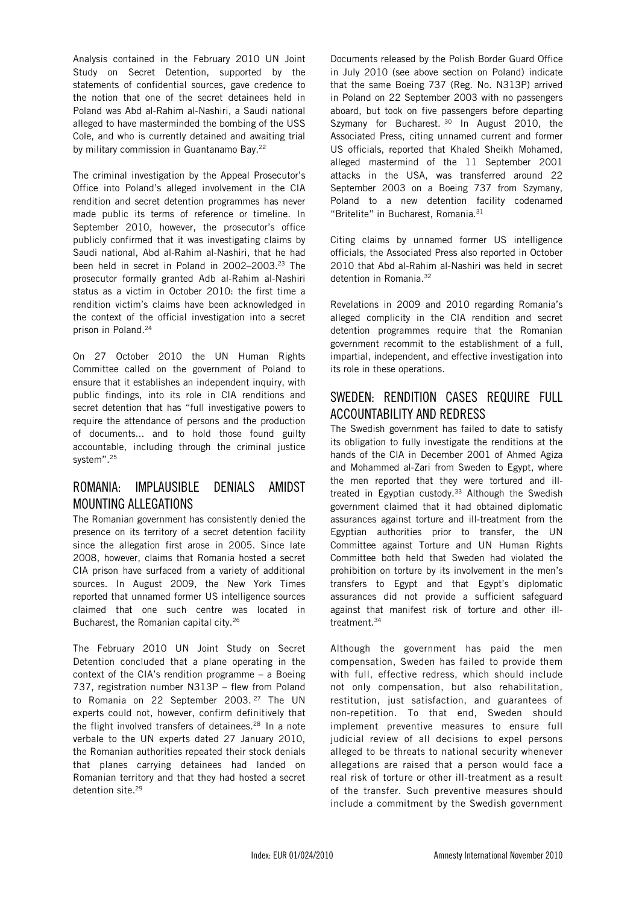Analysis contained in the February 2010 UN Joint Study on Secret Detention, supported by the statements of confidential sources, gave credence to the notion that one of the secret detainees held in Poland was Abd al-Rahim al-Nashiri, a Saudi national alleged to have masterminded the bombing of the USS Cole, and who is currently detained and awaiting trial by military commission in Guantanamo Bay.<sup>22</sup>

The criminal investigation by the Appeal Prosecutor's Office into Poland's alleged involvement in the CIA rendition and secret detention programmes has never made public its terms of reference or timeline. In September 2010, however, the prosecutor's office publicly confirmed that it was investigating claims by Saudi national, Abd al-Rahim al-Nashiri, that he had been held in secret in Poland in 2002–2003.<sup>23</sup> The prosecutor formally granted Adb al-Rahim al-Nashiri status as a victim in October 2010: the first time a rendition victim's claims have been acknowledged in the context of the official investigation into a secret prison in Poland.<sup>24</sup>

On 27 October 2010 the UN Human Rights Committee called on the government of Poland to ensure that it establishes an independent inquiry, with public findings, into its role in CIA renditions and secret detention that has "full investigative powers to require the attendance of persons and the production of documents... and to hold those found guilty accountable, including through the criminal justice system".<sup>25</sup>

#### ROMANIA: IMPLAUSIBLE DENIALS AMIDST MOUNTING ALLEGATIONS

The Romanian government has consistently denied the presence on its territory of a secret detention facility since the allegation first arose in 2005. Since late 2008, however, claims that Romania hosted a secret CIA prison have surfaced from a variety of additional sources. In August 2009, the New York Times reported that unnamed former US intelligence sources claimed that one such centre was located in Bucharest, the Romanian capital city.<sup>26</sup>

The February 2010 UN Joint Study on Secret Detention concluded that a plane operating in the context of the CIA's rendition programme – a Boeing 737, registration number N313P – flew from Poland to Romania on 22 September 2003.<sup>27</sup> The UN experts could not, however, confirm definitively that the flight involved transfers of detainees.<sup>28</sup> In a note verbale to the UN experts dated 27 January 2010, the Romanian authorities repeated their stock denials that planes carrying detainees had landed on Romanian territory and that they had hosted a secret detention site.<sup>29</sup>

Documents released by the Polish Border Guard Office in July 2010 (see above section on Poland) indicate that the same Boeing 737 (Reg. No. N313P) arrived in Poland on 22 September 2003 with no passengers aboard, but took on five passengers before departing Szymany for Bucharest. 30 In August 2010, the Associated Press, citing unnamed current and former US officials, reported that Khaled Sheikh Mohamed, alleged mastermind of the 11 September 2001 attacks in the USA, was transferred around 22 September 2003 on a Boeing 737 from Szymany, Poland to a new detention facility codenamed "Britelite" in Bucharest, Romania.<sup>31</sup>

Citing claims by unnamed former US intelligence officials, the Associated Press also reported in October 2010 that Abd al-Rahim al-Nashiri was held in secret detention in Romania.<sup>32</sup>

Revelations in 2009 and 2010 regarding Romania's alleged complicity in the CIA rendition and secret detention programmes require that the Romanian government recommit to the establishment of a full, impartial, independent, and effective investigation into its role in these operations.

#### SWEDEN: RENDITION CASES REQUIRE FULL ACCOUNTABILITY AND REDRESS

The Swedish government has failed to date to satisfy its obligation to fully investigate the renditions at the hands of the CIA in December 2001 of Ahmed Agiza and Mohammed al-Zari from Sweden to Egypt, where the men reported that they were tortured and illtreated in Egyptian custody.<sup>33</sup> Although the Swedish government claimed that it had obtained diplomatic assurances against torture and ill-treatment from the Egyptian authorities prior to transfer, the UN Committee against Torture and UN Human Rights Committee both held that Sweden had violated the prohibition on torture by its involvement in the men's transfers to Egypt and that Egypt's diplomatic assurances did not provide a sufficient safeguard against that manifest risk of torture and other illtreatment.<sup>34</sup>

Although the government has paid the men compensation, Sweden has failed to provide them with full, effective redress, which should include not only compensation, but also rehabilitation, restitution, just satisfaction, and guarantees of non-repetition. To that end, Sweden should implement preventive measures to ensure full judicial review of all decisions to expel persons alleged to be threats to national security whenever allegations are raised that a person would face a real risk of torture or other ill-treatment as a result of the transfer. Such preventive measures should include a commitment by the Swedish government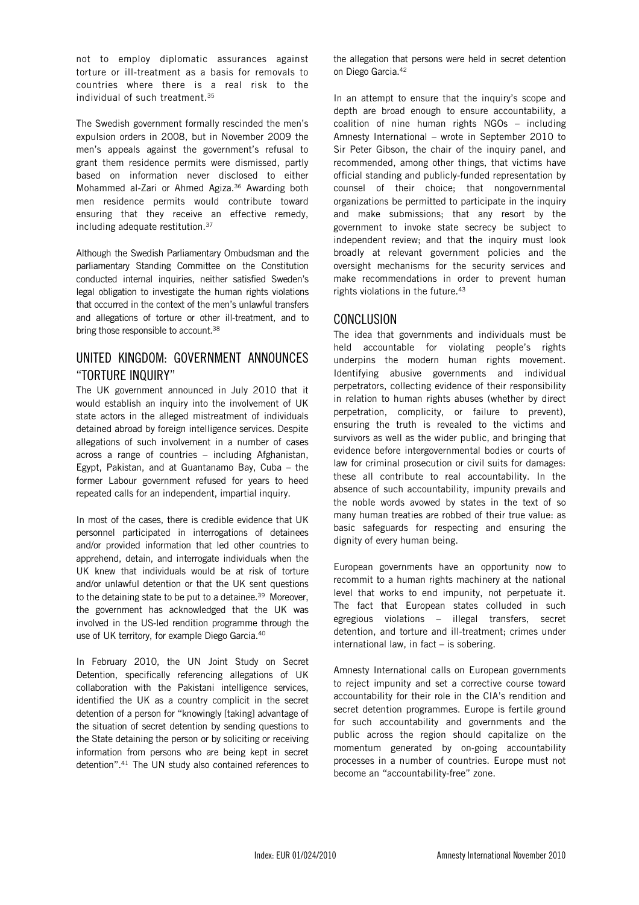not to employ diplomatic assurances against torture or ill-treatment as a basis for removals to countries where there is a real risk to the individual of such treatment.<sup>35</sup>

The Swedish government formally rescinded the men's expulsion orders in 2008, but in November 2009 the men's appeals against the government's refusal to grant them residence permits were dismissed, partly based on information never disclosed to either Mohammed al-Zari or Ahmed Agiza.<sup>36</sup> Awarding both men residence permits would contribute toward ensuring that they receive an effective remedy, including adequate restitution.<sup>37</sup>

Although the Swedish Parliamentary Ombudsman and the parliamentary Standing Committee on the Constitution conducted internal inquiries, neither satisfied Sweden's legal obligation to investigate the human rights violations that occurred in the context of the men's unlawful transfers and allegations of torture or other ill-treatment, and to bring those responsible to account.<sup>38</sup>

#### UNITED KINGDOM: GOVERNMENT ANNOUNCES "TORTURE INQUIRY"

The UK government announced in July 2010 that it would establish an inquiry into the involvement of UK state actors in the alleged mistreatment of individuals detained abroad by foreign intelligence services. Despite allegations of such involvement in a number of cases across a range of countries – including Afghanistan, Egypt, Pakistan, and at Guantanamo Bay, Cuba – the former Labour government refused for years to heed repeated calls for an independent, impartial inquiry.

In most of the cases, there is credible evidence that UK personnel participated in interrogations of detainees and/or provided information that led other countries to apprehend, detain, and interrogate individuals when the UK knew that individuals would be at risk of torture and/or unlawful detention or that the UK sent questions to the detaining state to be put to a detainee.<sup>39</sup> Moreover, the government has acknowledged that the UK was involved in the US-led rendition programme through the use of UK territory, for example Diego Garcia.<sup>40</sup>

In February 2010, the UN Joint Study on Secret Detention, specifically referencing allegations of UK collaboration with the Pakistani intelligence services, identified the UK as a country complicit in the secret detention of a person for "knowingly [taking] advantage of the situation of secret detention by sending questions to the State detaining the person or by soliciting or receiving information from persons who are being kept in secret detention".<sup>41</sup> The UN study also contained references to

the allegation that persons were held in secret detention on Diego Garcia.<sup>42</sup>

In an attempt to ensure that the inquiry's scope and depth are broad enough to ensure accountability, a coalition of nine human rights NGOs – including Amnesty International – wrote in September 2010 to Sir Peter Gibson, the chair of the inquiry panel, and recommended, among other things, that victims have official standing and publicly-funded representation by counsel of their choice; that nongovernmental organizations be permitted to participate in the inquiry and make submissions; that any resort by the government to invoke state secrecy be subject to independent review; and that the inquiry must look broadly at relevant government policies and the oversight mechanisms for the security services and make recommendations in order to prevent human rights violations in the future.<sup>43</sup>

#### CONCLUSION

The idea that governments and individuals must be held accountable for violating people's rights underpins the modern human rights movement. Identifying abusive governments and individual perpetrators, collecting evidence of their responsibility in relation to human rights abuses (whether by direct perpetration, complicity, or failure to prevent), ensuring the truth is revealed to the victims and survivors as well as the wider public, and bringing that evidence before intergovernmental bodies or courts of law for criminal prosecution or civil suits for damages: these all contribute to real accountability. In the absence of such accountability, impunity prevails and the noble words avowed by states in the text of so many human treaties are robbed of their true value: as basic safeguards for respecting and ensuring the dignity of every human being.

European governments have an opportunity now to recommit to a human rights machinery at the national level that works to end impunity, not perpetuate it. The fact that European states colluded in such egregious violations – illegal transfers, secret detention, and torture and ill-treatment; crimes under international law, in fact – is sobering.

Amnesty International calls on European governments to reject impunity and set a corrective course toward accountability for their role in the CIA's rendition and secret detention programmes. Europe is fertile ground for such accountability and governments and the public across the region should capitalize on the momentum generated by on-going accountability processes in a number of countries. Europe must not become an "accountability-free" zone.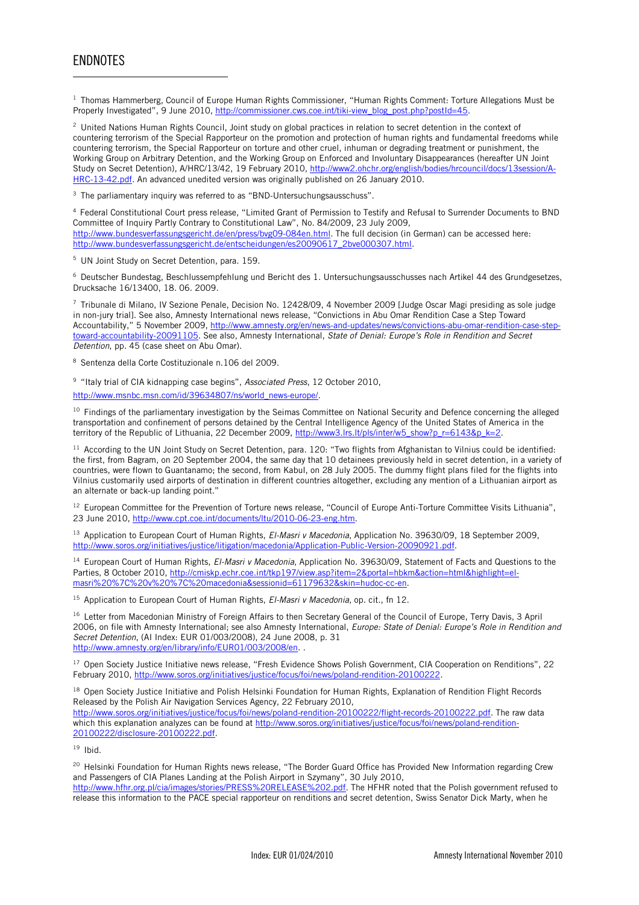#### ENDNOTES

l

<sup>1</sup> Thomas Hammerberg, Council of Europe Human Rights Commissioner, "Human Rights Comment: Torture Allegations Must be Properly Investigated", 9 June 2010, http://commissioner.cws.coe.int/tiki-view\_blog\_post.php?postId=45.

<sup>2</sup> United Nations Human Rights Council, Joint study on global practices in relation to secret detention in the context of countering terrorism of the Special Rapporteur on the promotion and protection of human rights and fundamental freedoms while countering terrorism, the Special Rapporteur on torture and other cruel, inhuman or degrading treatment or punishment, the Working Group on Arbitrary Detention, and the Working Group on Enforced and Involuntary Disappearances (hereafter UN Joint Study on Secret Detention), A/HRC/13/42, 19 February 2010, http://www2.ohchr.org/english/bodies/hrcouncil/docs/13session/A-HRC-13-42.pdf. An advanced unedited version was originally published on 26 January 2010.

<sup>3</sup> The parliamentary inquiry was referred to as "BND-Untersuchungsausschuss".

4 Federal Constitutional Court press release, "Limited Grant of Permission to Testify and Refusal to Surrender Documents to BND Committee of Inquiry Partly Contrary to Constitutional Law", No. 84/2009, 23 July 2009, http://www.bundesverfassungsgericht.de/en/press/bvg09-084en.html. The full decision (in German) can be accessed here: http://www.bundesverfassungsgericht.de/entscheidungen/es20090617\_2bve000307.html.

5 UN Joint Study on Secret Detention, para. 159.

6 Deutscher Bundestag, Beschlussempfehlung und Bericht des 1. Untersuchungsausschusses nach Artikel 44 des Grundgesetzes, Drucksache 16/13400, 18. 06. 2009.

7 Tribunale di Milano, IV Sezione Penale, Decision No. 12428/09, 4 November 2009 [Judge Oscar Magi presiding as sole judge in non-jury trial]. See also, Amnesty International news release, "Convictions in Abu Omar Rendition Case a Step Toward Accountability," 5 November 2009, http://www.amnesty.org/en/news-and-updates/news/convictions-abu-omar-rendition-case-steptoward-accountability-20091105. See also, Amnesty International, State of Denial: Europe's Role in Rendition and Secret Detention, pp. 45 (case sheet on Abu Omar).

8 Sentenza della Corte Costituzionale n.106 del 2009.

<sup>9</sup> "Italy trial of CIA kidnapping case begins", Associated Press, 12 October 2010,

http://www.msnbc.msn.com/id/39634807/ns/world\_news-europe/.

<sup>10</sup> Findings of the parliamentary investigation by the Seimas Committee on National Security and Defence concerning the alleged transportation and confinement of persons detained by the Central Intelligence Agency of the United States of America in the territory of the Republic of Lithuania, 22 December 2009, http://www3.lrs.lt/pls/inter/w5\_show?p\_r=6143&p\_k=2.

<sup>11</sup> According to the UN Joint Study on Secret Detention, para. 120: "Two flights from Afghanistan to Vilnius could be identified: the first, from Bagram, on 20 September 2004, the same day that 10 detainees previously held in secret detention, in a variety of countries, were flown to Guantanamo; the second, from Kabul, on 28 July 2005. The dummy flight plans filed for the flights into Vilnius customarily used airports of destination in different countries altogether, excluding any mention of a Lithuanian airport as an alternate or back-up landing point."

<sup>12</sup> European Committee for the Prevention of Torture news release, "Council of Europe Anti-Torture Committee Visits Lithuania", 23 June 2010, http://www.cpt.coe.int/documents/ltu/2010-06-23-eng.htm.

<sup>13</sup> Application to European Court of Human Rights, El-Masri v Macedonia, Application No. 39630/09, 18 September 2009, http://www.soros.org/initiatives/justice/litigation/macedonia/Application-Public-Version-20090921.pdf.

<sup>14</sup> European Court of Human Rights, *El-Masri v Macedonia*, Application No. 39630/09, Statement of Facts and Questions to the Parties, 8 October 2010, http://cmiskp.echr.coe.int/tkp197/view.asp?item=2&portal=hbkm&action=html&highlight=elmasri%20%7C%20v%20%7C%20macedonia&sessionid=61179632&skin=hudoc-cc-en.

 $15$  Application to European Court of Human Rights, EI-Masri v Macedonia, op. cit., fn 12.

<sup>16</sup> Letter from Macedonian Ministry of Foreign Affairs to then Secretary General of the Council of Europe, Terry Davis, 3 April 2006, on file with Amnesty International; see also Amnesty International, Europe: State of Denial: Europe's Role in Rendition and Secret Detention, (AI Index: EUR 01/003/2008), 24 June 2008, p. 31 http://www.amnesty.org/en/library/info/EUR01/003/2008/en.

<sup>17</sup> Open Society Justice Initiative news release, "Fresh Evidence Shows Polish Government, CIA Cooperation on Renditions", 22 February 2010, http://www.soros.org/initiatives/justice/focus/foi/news/poland-rendition-20100222.

<sup>18</sup> Open Society Justice Initiative and Polish Helsinki Foundation for Human Rights, Explanation of Rendition Flight Records Released by the Polish Air Navigation Services Agency, 22 February 2010, http://www.soros.org/initiatives/justice/focus/foi/news/poland-rendition-20100222/flight-records-20100222.pdf. The raw data

which this explanation analyzes can be found at http://www.soros.org/initiatives/justice/focus/foi/news/poland-rendition-20100222/disclosure-20100222.pdf.

 $19$  Ibid.

<sup>20</sup> Helsinki Foundation for Human Rights news release. "The Border Guard Office has Provided New Information regarding Crew and Passengers of CIA Planes Landing at the Polish Airport in Szymany", 30 July 2010,

http://www.hfhr.org.pl/cia/images/stories/PRESS%20RELEASE%202.pdf. The HFHR noted that the Polish government refused to release this information to the PACE special rapporteur on renditions and secret detention, Swiss Senator Dick Marty, when he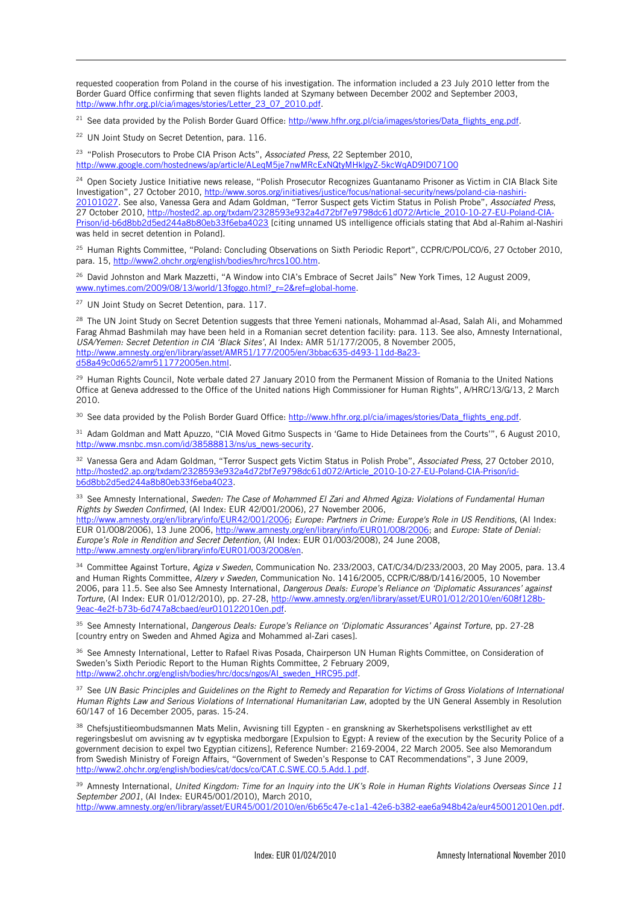requested cooperation from Poland in the course of his investigation. The information included a 23 July 2010 letter from the Border Guard Office confirming that seven flights landed at Szymany between December 2002 and September 2003, http://www.hfhr.org.pl/cia/images/stories/Letter\_23\_07\_2010.pdf.

<sup>21</sup> See data provided by the Polish Border Guard Office: http://www.hfhr.org.pl/cia/images/stories/Data\_flights\_eng.pdf.

<sup>22</sup> UN Joint Study on Secret Detention, para. 116.

l

<sup>23</sup> "Polish Prosecutors to Probe CIA Prison Acts", Associated Press, 22 September 2010, http://www.google.com/hostednews/ap/article/ALeqM5je7nwMRcExNQtyMHklgyZ-5kcWqAD9ID071O0

<sup>24</sup> Open Society Justice Initiative news release, "Polish Prosecutor Recognizes Guantanamo Prisoner as Victim in CIA Black Site Investigation", 27 October 2010, http://www.soros.org/initiatives/justice/focus/national-security/news/poland-cia-nashiri 20101027. See also, Vanessa Gera and Adam Goldman, "Terror Suspect gets Victim Status in Polish Probe", Associated Press, 27 October 2010, http://hosted2.ap.org/txdam/2328593e932a4d72bf7e9798dc61d072/Article\_2010-10-27-EU-Poland-CIA-Prison/id-b6d8bb2d5ed244a8b80eb33f6eba4023 [citing unnamed US intelligence officials stating that Abd al-Rahim al-Nashiri was held in secret detention in Poland].

<sup>25</sup> Human Rights Committee, "Poland: Concluding Observations on Sixth Periodic Report", CCPR/C/POL/CO/6, 27 October 2010, para. 15, http://www2.ohchr.org/english/bodies/hrc/hrcs100.htm.

<sup>26</sup> David Johnston and Mark Mazzetti, "A Window into CIA's Embrace of Secret Jails" New York Times, 12 August 2009, www.nytimes.com/2009/08/13/world/13foggo.html?\_r=2&ref=global-home.

<sup>27</sup> UN Joint Study on Secret Detention, para. 117.

<sup>28</sup> The UN Joint Study on Secret Detention suggests that three Yemeni nationals, Mohammad al-Asad, Salah Ali, and Mohammed Farag Ahmad Bashmilah may have been held in a Romanian secret detention facility: para. 113. See also, Amnesty International, USA/Yemen: Secret Detention in CIA 'Black Sites', AI Index: AMR 51/177/2005, 8 November 2005, http://www.amnesty.org/en/library/asset/AMR51/177/2005/en/3bbac635-d493-11dd-8a23 d58a49c0d652/amr511772005en.html.

<sup>29</sup> Human Rights Council, Note verbale dated 27 January 2010 from the Permanent Mission of Romania to the United Nations Office at Geneva addressed to the Office of the United nations High Commissioner for Human Rights", A/HRC/13/G/13, 2 March 2010.

30 See data provided by the Polish Border Guard Office: http://www.hfhr.org.pl/cia/images/stories/Data\_flights\_eng.pdf.

 $31$  Adam Goldman and Matt Apuzzo, "CIA Moved Gitmo Suspects in 'Game to Hide Detainees from the Courts'", 6 August 2010, http://www.msnbc.msn.com/id/38588813/ns/us\_news-security.

<sup>32</sup> Vanessa Gera and Adam Goldman, "Terror Suspect gets Victim Status in Polish Probe", Associated Press, 27 October 2010, http://hosted2.ap.org/txdam/2328593e932a4d72bf7e9798dc61d072/Article\_2010-10-27-EU-Poland-CIA-Prison/idb6d8bb2d5ed244a8b80eb33f6eba4023.

33 See Amnesty International, Sweden: The Case of Mohammed El Zari and Ahmed Agiza: Violations of Fundamental Human Rights by Sweden Confirmed, (AI Index: EUR 42/001/2006), 27 November 2006,

http://www.amnesty.org/en/library/info/EUR42/001/2006; Europe: Partners in Crime: Europe's Role in US Renditions, (AI Index: EUR 01/008/2006), 13 June 2006, http://www.amnesty.org/en/library/info/EUR01/008/2006; and Europe: State of Denial: Europe's Role in Rendition and Secret Detention, (AI Index: EUR 01/003/2008), 24 June 2008, http://www.amnesty.org/en/library/info/EUR01/003/2008/en.

<sup>34</sup> Committee Against Torture, Agiza v Sweden, Communication No. 233/2003, CAT/C/34/D/233/2003, 20 May 2005, para. 13.4 and Human Rights Committee, Alzery v Sweden, Communication No. 1416/2005, CCPR/C/88/D/1416/2005, 10 November 2006, para 11.5. See also See Amnesty International, Dangerous Deals: Europe's Reliance on 'Diplomatic Assurances' against Torture, (AI Index: EUR 01/012/2010), pp. 27-28, http://www.amnesty.org/en/library/asset/EUR01/012/2010/en/608f128b-9eac-4e2f-b73b-6d747a8cbaed/eur010122010en.pdf.

35 See Amnesty International, Dangerous Deals: Europe's Reliance on 'Diplomatic Assurances' Against Torture, pp. 27-28 [country entry on Sweden and Ahmed Agiza and Mohammed al-Zari cases].

36 See Amnesty International, Letter to Rafael Rivas Posada, Chairperson UN Human Rights Committee, on Consideration of Sweden's Sixth Periodic Report to the Human Rights Committee, 2 February 2009, http://www2.ohchr.org/english/bodies/hrc/docs/ngos/AI\_sweden\_HRC95.pdf.

<sup>37</sup> See UN Basic Principles and Guidelines on the Right to Remedy and Reparation for Victims of Gross Violations of International Human Rights Law and Serious Violations of International Humanitarian Law, adopted by the UN General Assembly in Resolution 60/147 of 16 December 2005, paras. 15-24.

<sup>38</sup> Chefsjustitieombudsmannen Mats Melin, Avvisning till Egypten - en granskning av Skerhetspolisens verkstllighet av ett regeringsbeslut om avvisning av tv egyptiska medborgare [Expulsion to Egypt: A review of the execution by the Security Police of a government decision to expel two Egyptian citizens], Reference Number: 2169-2004, 22 March 2005. See also Memorandum from Swedish Ministry of Foreign Affairs, "Government of Sweden's Response to CAT Recommendations", 3 June 2009, http://www2.ohchr.org/english/bodies/cat/docs/co/CAT.C.SWE.CO.5.Add.1.pdf.

 $39$  Amnesty International, United Kingdom: Time for an Inquiry into the UK's Role in Human Rights Violations Overseas Since 11 September 2001, (AI Index: EUR45/001/2010), March 2010, http://www.amnesty.org/en/library/asset/EUR45/001/2010/en/6b65c47e-c1a1-42e6-b382-eae6a948b42a/eur450012010en.pdf.